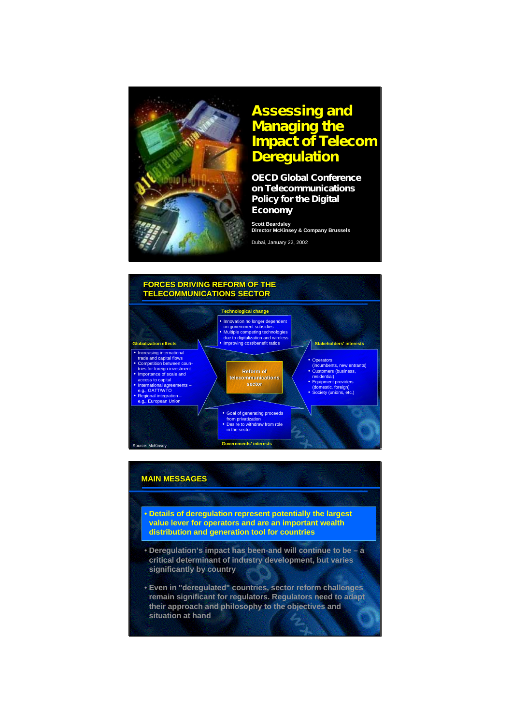

# **Assessing and Assessing and Managing the Managing the Impact of T elecom Deregulation Impact of T elecom Deregulation**

**OE CD Global Conference OE CD Global Conference on T elecommunications on T elecommunications Policy for the Digital Policy for the Digital E conomy E conomy**

**Scott Beardsley Director McKinsey & Company Brussels Scott Beardsley Director McKinsey & Brussels**

Dubai, January 22, 2002 Dubai, January 22, 2002



# **MAIN MESSAGES MAIN MESSAGES**

- **Details of deregulation represent potentially the largest value lever for operators and are an important wealth distribution and generation tool for countries**
- **Deregulation's impact has been-and will continue to be a critical determinant of industry development, but varies significantly by country**
- **Even in "deregulated" countries, sector reform challenges remain significant for regulators. Regulators need to adapt their approach and philosophy to the objectives and situation at hand**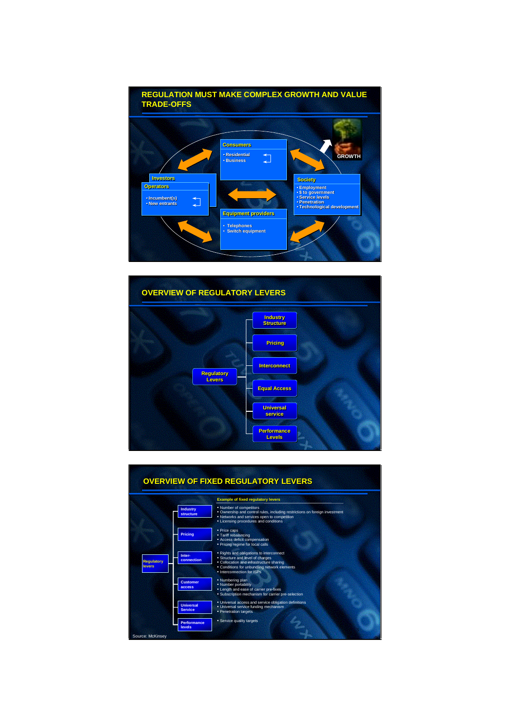



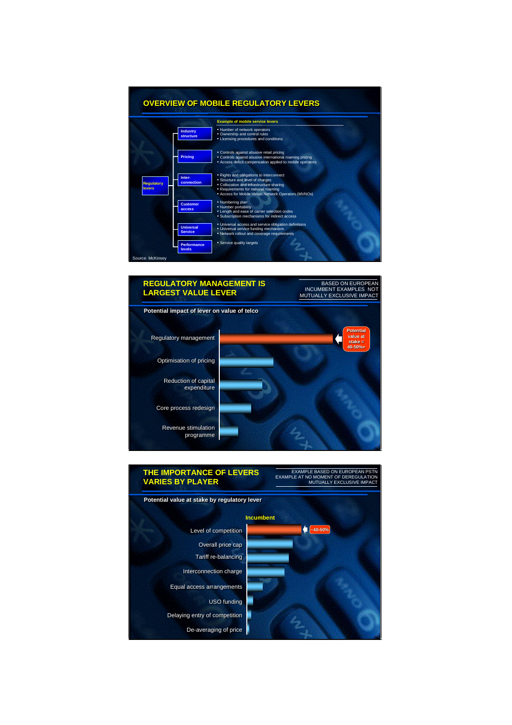### **OVERVIEW OF MOBILE REGULATORY LEVERS OVERVIEW OF MOBILE REGULATORY LEVERS**





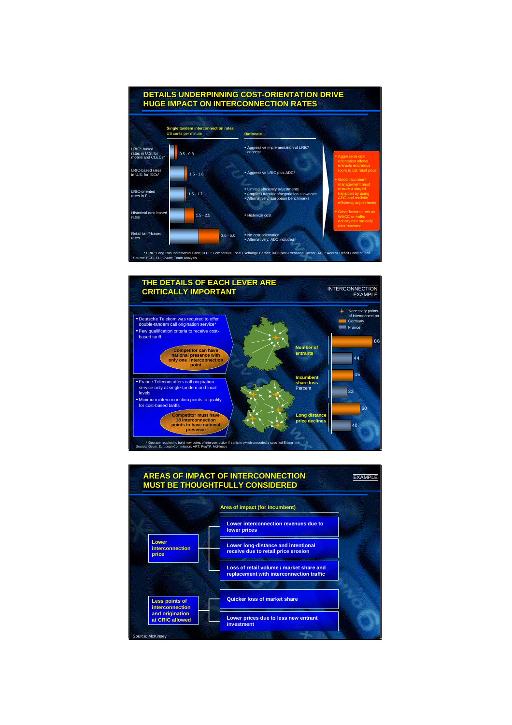



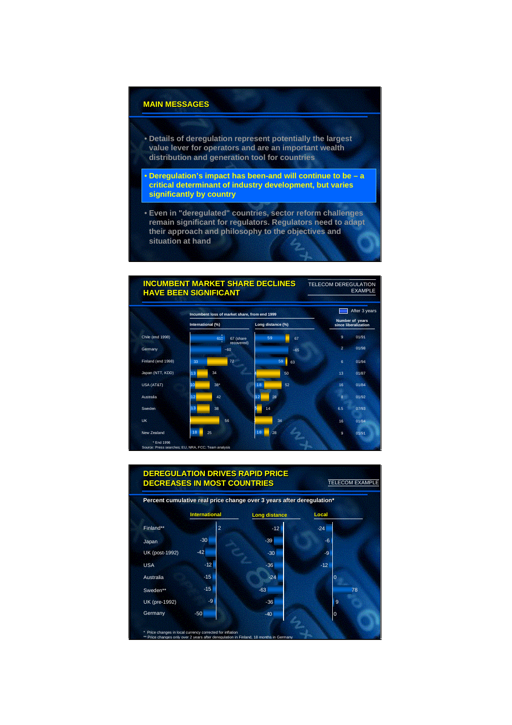### **MAIN MESSAGES MAIN MESSAGES**

- **Details of deregulation represent potentially the largest value lever for operators and are an important wealth distribution and generation tool for countries**
- **Deregulation's impact has been-and will continue to be a critical determinant of industry development, but varies significantly by country**
- **Even in "deregulated" countries, sector reform challenges remain significant for regulators. Regulators need to adapt their approach and philosophy to the objectives and situation at hand**

#### TELECOM DEREGULATION EXAMPLE **INCUMBENT MARKET SHARE DECLINES INCUMBENT MARKET SHARE DECLINES HAVE BEEN SIGNIFICANT HAVE BEEN SIGNIFICANT**



Finland\*\* Japan UK (post-1992) USA Australia Sweden\*\* UK (pre-1992) \* Price changes in local currency corrected for inflation \*\* Price changes only over 2 years after deregulation in Finland, 18 months in Germany **Long distance Long distance Local** 5 -30  $-42$ -12 -15 -15  $-a$ -50  $-12$ -39  $-30<sup>1</sup>$ -36 -24 -63 -36 -40  $-24$ -6 -9 -12  $\overline{0}$ 78 **10** 0 TELECOM EXAMPLE **DEREGULATION DRIVES RAPID PRICE DECREASES IN MOST COUNTRIES Percent cumulative real price change over 3 years after deregulation\* Percent cumulative real price change over 3 years after deregulation\* DEREGULATION DRIVES RAPID PRICE DECREASES IN MOST COUNTRIES International International Germany**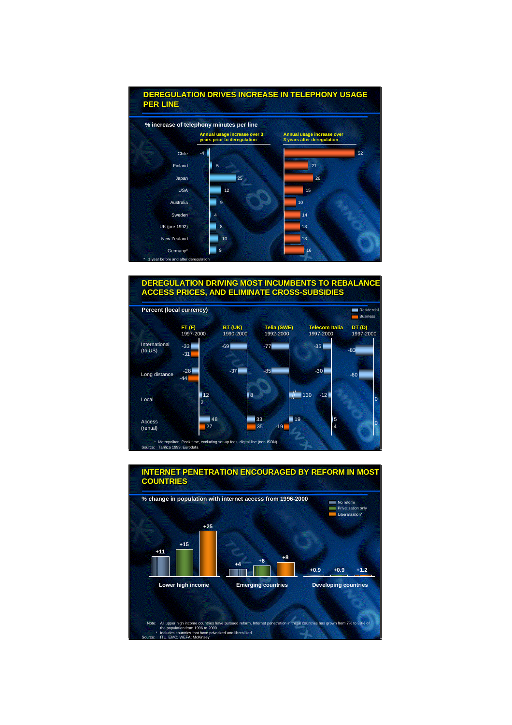

### **DEREGULATION DRIVING MOST INCUMBENTS TO REBALANCE DEREGULATION DRIVING MOST INCUMBENTS TO REBALANCE ACCESS PRICES, AND ELIMINATE CROSS-SUBSIDIES ACCESS PRICES, AND ELIMINATE CROSS-SUBSIDIES**





# **INTERNET PENETRATION ENCOURAGED BY REFORM IN MOST INTERNET PENETRATION ENCOURAGED BY REFORM IN MOST**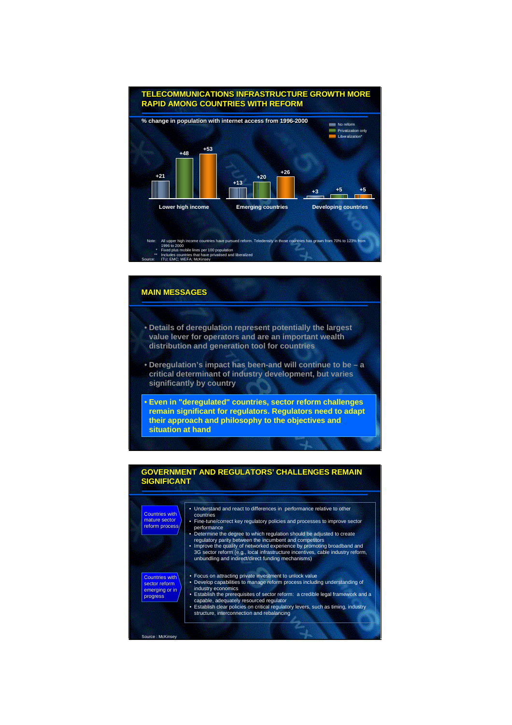

# **MAIN MESSAGES MAIN MESSAGES**

- **Details of deregulation represent potentially the largest value lever for operators and are an important wealth distribution and generation tool for countries**
- **Deregulation's impact has been-and will continue to be a critical determinant of industry development, but varies significantly by country**
- **Even in "deregulated" countries, sector reform challenges remain significant for regulators. Regulators need to adapt their approach and philosophy to the objectives and situation at hand**

### **GOVERNMENT AND REGULATORS' CHALLENGES REMAIN GOVERNMENT AND REGULATORS' CHALLENGES REMAIN SIGNIFICANT SIGNIFICANT**